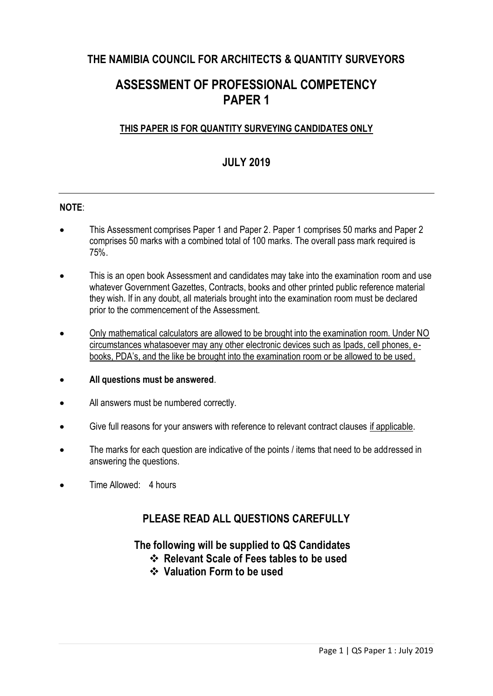## **THE NAMIBIA COUNCIL FOR ARCHITECTS & QUANTITY SURVEYORS**

# **ASSESSMENT OF PROFESSIONAL COMPETENCY PAPER 1**

### **THIS PAPER IS FOR QUANTITY SURVEYING CANDIDATES ONLY**

### **JULY 2019**

### **NOTE**:

- This Assessment comprises Paper 1 and Paper 2. Paper 1 comprises 50 marks and Paper 2 comprises 50 marks with a combined total of 100 marks. The overall pass mark required is 75%.
- This is an open book Assessment and candidates may take into the examination room and use whatever Government Gazettes, Contracts, books and other printed public reference material they wish. If in any doubt, all materials brought into the examination room must be declared prior to the commencement of the Assessment.
- Only mathematical calculators are allowed to be brought into the examination room. Under NO circumstances whatasoever may any other electronic devices such as Ipads, cell phones, ebooks, PDA's, and the like be brought into the examination room or be allowed to be used.
- **All questions must be answered**.
- All answers must be numbered correctly.
- Give full reasons for your answers with reference to relevant contract clauses if applicable.
- The marks for each question are indicative of the points / items that need to be addressed in answering the questions.
- Time Allowed: 4 hours

### **PLEASE READ ALL QUESTIONS CAREFULLY**

### **The following will be supplied to QS Candidates**

- **Relevant Scale of Fees tables to be used**
- **Valuation Form to be used**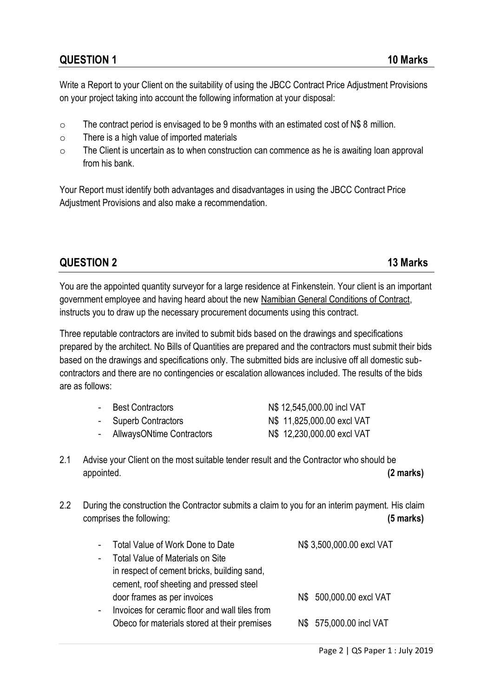## **QUESTION 1 10 Marks**

Write a Report to your Client on the suitability of using the JBCC Contract Price Adjustment Provisions on your project taking into account the following information at your disposal:

- o The contract period is envisaged to be 9 months with an estimated cost of N\$ 8 million.
- o There is a high value of imported materials
- $\circ$  The Client is uncertain as to when construction can commence as he is awaiting loan approval from his bank.

Your Report must identify both advantages and disadvantages in using the JBCC Contract Price Adjustment Provisions and also make a recommendation.

### **QUESTION 2 13 Marks**

You are the appointed quantity surveyor for a large residence at Finkenstein. Your client is an important government employee and having heard about the new Namibian General Conditions of Contract, instructs you to draw up the necessary procurement documents using this contract.

Three reputable contractors are invited to submit bids based on the drawings and specifications prepared by the architect. No Bills of Quantities are prepared and the contractors must submit their bids based on the drawings and specifications only. The submitted bids are inclusive off all domestic subcontractors and there are no contingencies or escalation allowances included. The results of the bids are as follows:

| $\sim$ 10 $\,$ | Best Contractors            | N\$ 12,545,000.00 incl VAT |
|----------------|-----------------------------|----------------------------|
|                | - Superb Contractors        | N\$ 11,825,000.00 excl VAT |
|                | - AllwaysONtime Contractors | N\$ 12,230,000.00 excl VAT |

- 2.1 Advise your Client on the most suitable tender result and the Contractor who should be appointed. **(2 marks)**
- 2.2 During the construction the Contractor submits a claim to you for an interim payment. His claim comprises the following: **(5 marks)**

| $\blacksquare$ | Total Value of Work Done to Date               | N\$ 3,500,000.00 excl VAT |
|----------------|------------------------------------------------|---------------------------|
| $\blacksquare$ | <b>Total Value of Materials on Site</b>        |                           |
|                | in respect of cement bricks, building sand,    |                           |
|                | cement, roof sheeting and pressed steel        |                           |
|                | door frames as per invoices                    | N\$ 500,000.00 excl VAT   |
| $\blacksquare$ | Invoices for ceramic floor and wall tiles from |                           |
|                | Obeco for materials stored at their premises   | N\$ 575,000.00 incl VAT   |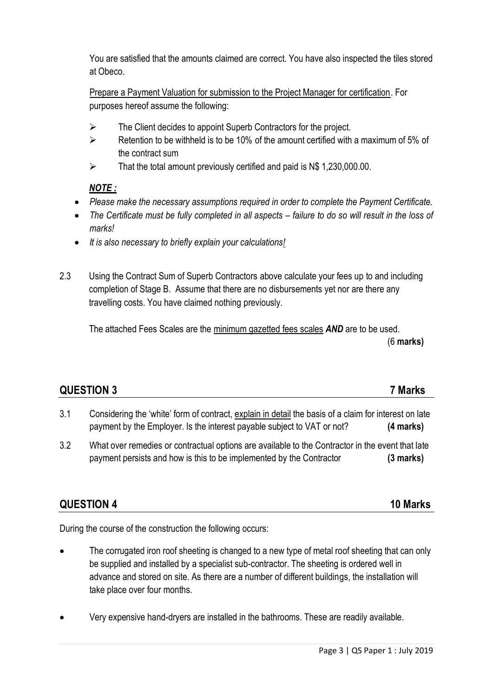You are satisfied that the amounts claimed are correct. You have also inspected the tiles stored at Obeco.

Prepare a Payment Valuation for submission to the Project Manager for certification. For purposes hereof assume the following:

- $\triangleright$  The Client decides to appoint Superb Contractors for the project.
- $\triangleright$  Retention to be withheld is to be 10% of the amount certified with a maximum of 5% of the contract sum
- $\triangleright$  That the total amount previously certified and paid is N\$ 1,230,000.00.

### *NOTE :*

- *Please make the necessary assumptions required in order to complete the Payment Certificate.*
- The Certificate must be fully completed in all aspects failure to do so will result in the loss of *marks!*
- *It is also necessary to briefly explain your calculations!*
- 2.3 Using the Contract Sum of Superb Contractors above calculate your fees up to and including completion of Stage B. Assume that there are no disbursements yet nor are there any travelling costs. You have claimed nothing previously.

The attached Fees Scales are the minimum gazetted fees scales *AND* are to be used. (6 **marks)**

## **QUESTION 3 7 Marks**

- 3.1 Considering the 'white' form of contract, explain in detail the basis of a claim for interest on late payment by the Employer. Is the interest payable subject to VAT or not? **(4 marks)**
- 3.2 What over remedies or contractual options are available to the Contractor in the event that late payment persists and how is this to be implemented by the Contractor **(3 marks)**

## **QUESTION 4 10 Marks**

During the course of the construction the following occurs:

- The corrugated iron roof sheeting is changed to a new type of metal roof sheeting that can only be supplied and installed by a specialist sub-contractor. The sheeting is ordered well in advance and stored on site. As there are a number of different buildings, the installation will take place over four months.
- Very expensive hand-dryers are installed in the bathrooms. These are readily available.